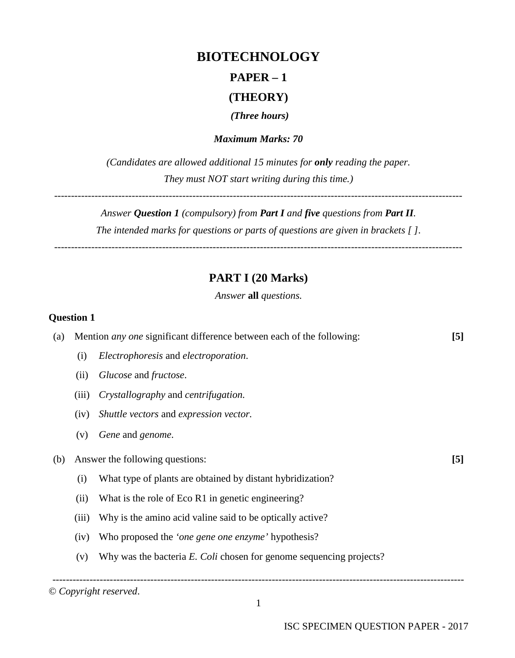# **BIOTECHNOLOGY**

# **PAPER – 1**

## **(THEORY)**

*(Three hours)*

*Maximum Marks: 70*

*(Candidates are allowed additional 15 minutes for only reading the paper. They must NOT start writing during this time.)*

-------------------------------------------------------------------------------------------------------------------------

*Answer Question 1 (compulsory) from Part I and five questions from Part II. The intended marks for questions or parts of questions are given in brackets [ ]. -------------------------------------------------------------------------------------------------------------------------*

## **PART I (20 Marks)**

*Answer* **all** *questions.*

#### **Question 1**

| (a) | Mention <i>any one</i> significant difference between each of the following: |                                                                     | [5]              |
|-----|------------------------------------------------------------------------------|---------------------------------------------------------------------|------------------|
|     | (i)                                                                          | Electrophoresis and electroporation.                                |                  |
|     | (ii)                                                                         | Glucose and fructose.                                               |                  |
|     | (iii)                                                                        | Crystallography and centrifugation.                                 |                  |
|     | (iv)                                                                         | Shuttle vectors and expression vector.                              |                  |
|     | (v)                                                                          | Gene and genome.                                                    |                  |
| (b) |                                                                              | Answer the following questions:                                     | $\left[5\right]$ |
|     | (i)                                                                          | What type of plants are obtained by distant hybridization?          |                  |
|     | (ii)                                                                         | What is the role of Eco R1 in genetic engineering?                  |                  |
|     | (iii)                                                                        | Why is the amino acid valine said to be optically active?           |                  |
|     | (iv)                                                                         | Who proposed the <i>'one gene one enzyme'</i> hypothesis?           |                  |
|     | (v)                                                                          | Why was the bacteria E. Coli chosen for genome sequencing projects? |                  |
|     |                                                                              |                                                                     |                  |

© *Copyright reserved*.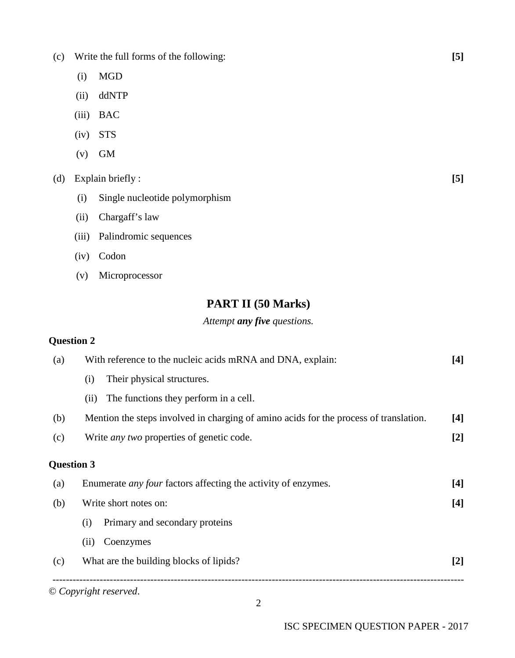- (c) Write the full forms of the following: **[5]**
	- (i) MGD
	- (ii) ddNTP
	- (iii) BAC
	- (iv) STS
	- $(v)$  GM

### (d) Explain briefly : **[5]**

- (i) Single nucleotide polymorphism
- (ii) Chargaff's law
- (iii) Palindromic sequences
- (iv) Codon
- (v) Microprocessor

## **PART II (50 Marks)**

#### *Attempt any five questions.*

#### **Question 2**

| (a)               | With reference to the nucleic acids mRNA and DNA, explain:                            | $[4]$ |
|-------------------|---------------------------------------------------------------------------------------|-------|
|                   | Their physical structures.<br>(i)                                                     |       |
|                   | The functions they perform in a cell.<br>(11)                                         |       |
| (b)               | Mention the steps involved in charging of amino acids for the process of translation. | $[4]$ |
| (c)               | Write <i>any two</i> properties of genetic code.                                      | $[2]$ |
| <b>Question 3</b> |                                                                                       |       |
| (a)               | Enumerate <i>any four</i> factors affecting the activity of enzymes.                  | $[4]$ |
| (b)               | Write short notes on:                                                                 |       |
|                   | Primary and secondary proteins<br>(i)                                                 |       |
|                   | Coenzymes<br>(ii)                                                                     |       |
| (c)               | What are the building blocks of lipids?                                               | $[2]$ |

2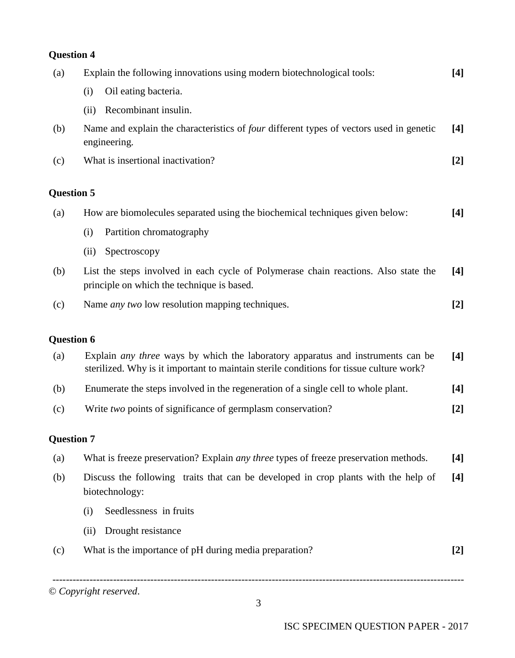# -------------------------------------------------------------------------------------------------------------------------- **Question 4** (a) Explain the following innovations using modern biotechnological tools: **[4]** (i) Oil eating bacteria. (ii) Recombinant insulin. (b) Name and explain the characteristics of *four* different types of vectors used in genetic engineering*.* **[4]** (c) What is insertional inactivation? **[2] Question 5** (a) How are biomolecules separated using the biochemical techniques given below: **[4]** (i) Partition chromatography (ii) Spectroscopy (b) List the steps involved in each cycle of Polymerase chain reactions. Also state the principle on which the technique is based. **[4]** (c) Name *any two* low resolution mapping techniques. **[2] Question 6** (a) Explain *any three* ways by which the laboratory apparatus and instruments can be sterilized. Why is it important to maintain sterile conditions for tissue culture work? **[4]** (b) Enumerate the steps involved in the regeneration of a single cell to whole plant. **[4]** (c) Write *two* points of significance of germplasm conservation? **[2] Question 7** (a) What is freeze preservation? Explain *any three* types of freeze preservation methods. **[4]** (b) Discuss the following traits that can be developed in crop plants with the help of biotechnology: **[4]** (i) Seedlessness in fruits (ii) Drought resistance (c) What is the importance of pH during media preparation? **[2]**

© *Copyright reserved*.